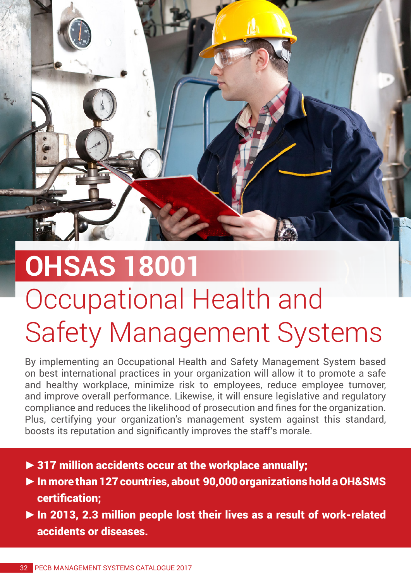

## **OHSAS 18001**  Occupational Health and Safety Management Systems

By implementing an Occupational Health and Safety Management System based on best international practices in your organization will allow it to promote a safe and healthy workplace, minimize risk to employees, reduce employee turnover, and improve overall performance. Likewise, it will ensure legislative and regulatory compliance and reduces the likelihood of prosecution and fines for the organization. Plus, certifying your organization's management system against this standard, boosts its reputation and significantly improves the staff's morale.

- **►**317 million accidents occur at the workplace annually;
- **►**In more than 127 countries, about 90,000 organizations hold a OH&SMS certification;
- **►**In 2013, 2.3 million people lost their lives as a result of work-related accidents or diseases.